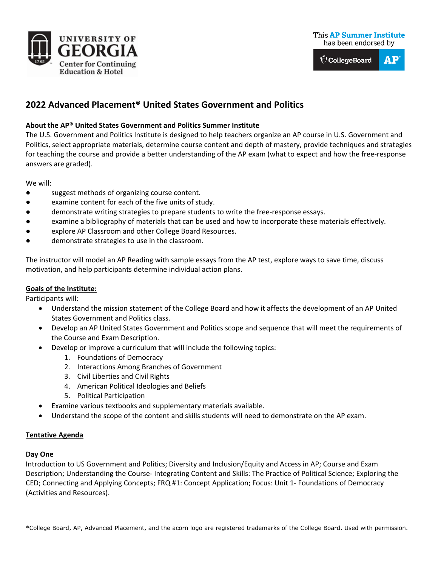



# **2022 Advanced Placement® United States Government and Politics**

### **About the AP® United States Government and Politics Summer Institute**

The U.S. Government and Politics Institute is designed to help teachers organize an AP course in U.S. Government and Politics, select appropriate materials, determine course content and depth of mastery, provide techniques and strategies for teaching the course and provide a better understanding of the AP exam (what to expect and how the free-response answers are graded).

We will:

- suggest methods of organizing course content.
- examine content for each of the five units of study.
- demonstrate writing strategies to prepare students to write the free-response essays.
- examine a bibliography of materials that can be used and how to incorporate these materials effectively.
- explore AP Classroom and other College Board Resources.
- demonstrate strategies to use in the classroom.

The instructor will model an AP Reading with sample essays from the AP test, explore ways to save time, discuss motivation, and help participants determine individual action plans.

### **Goals of the Institute:**

Participants will:

- Understand the mission statement of the College Board and how it affects the development of an AP United States Government and Politics class.
- Develop an AP United States Government and Politics scope and sequence that will meet the requirements of the Course and Exam Description.
- Develop or improve a curriculum that will include the following topics:
	- 1. Foundations of Democracy
	- 2. Interactions Among Branches of Government
	- 3. Civil Liberties and Civil Rights
	- 4. American Political Ideologies and Beliefs
	- 5. Political Participation
- Examine various textbooks and supplementary materials available.
- Understand the scope of the content and skills students will need to demonstrate on the AP exam.

### **Tentative Agenda**

### **Day One**

Introduction to US Government and Politics; Diversity and Inclusion/Equity and Access in AP; Course and Exam Description; Understanding the Course- Integrating Content and Skills: The Practice of Political Science; Exploring the CED; Connecting and Applying Concepts; FRQ #1: Concept Application; Focus: Unit 1- Foundations of Democracy (Activities and Resources).

\*College Board, AP, Advanced Placement, and the acorn logo are registered trademarks of the College Board. Used with permission.